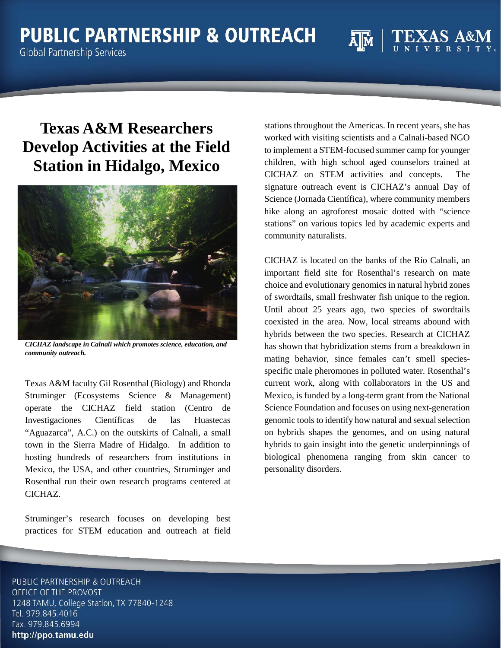## **PUBLIC PARTNERSHIP & OUTREACH**

**Global Partnership Services** 

## **Texas A&M Researchers Develop Activities at the Field Station in Hidalgo, Mexico**



*CICHAZ landscape in Calnali which promotes science, education, and community outreach.*

Texas A&M faculty Gil Rosenthal (Biology) and Rhonda Struminger (Ecosystems Science & Management) operate the CICHAZ field station (Centro de Investigaciones Científicas de las Huastecas "Aguazarca", A.C.) on the outskirts of Calnali, a small town in the Sierra Madre of Hidalgo. In addition to hosting hundreds of researchers from institutions in Mexico, the USA, and other countries, Struminger and Rosenthal run their own research programs centered at CICHAZ.

Struminger's research focuses on developing best practices for STEM education and outreach at field stations throughout the Americas. In recent years, she has worked with visiting scientists and a Calnali-based NGO to implement a STEM-focused summer camp for younger children, with high school aged counselors trained at CICHAZ on STEM activities and concepts. The signature outreach event is CICHAZ's annual Day of Science (Jornada Científica), where community members hike along an agroforest mosaic dotted with "science stations" on various topics led by academic experts and community naturalists.

CICHAZ is located on the banks of the Río Calnali, an important field site for Rosenthal's research on mate choice and evolutionary genomics in natural hybrid zones of swordtails, small freshwater fish unique to the region. Until about 25 years ago, two species of swordtails coexisted in the area. Now, local streams abound with hybrids between the two species. Research at CICHAZ has shown that hybridization stems from a breakdown in mating behavior, since females can't smell speciesspecific male pheromones in polluted water. Rosenthal's current work, along with collaborators in the US and Mexico, is funded by a long-term grant from the National Science Foundation and focuses on using next-generation genomic tools to identify how natural and sexual selection on hybrids shapes the genomes, and on using natural hybrids to gain insight into the genetic underpinnings of biological phenomena ranging from skin cancer to personality disorders.

PUBLIC PARTNERSHIP & OUTREACH OFFICE OF THE PROVOST 1248 TAMU, College Station, TX 77840-1248 Tel. 979.845.4016 Fax. 979.845.6994 http://ppo.tamu.edu